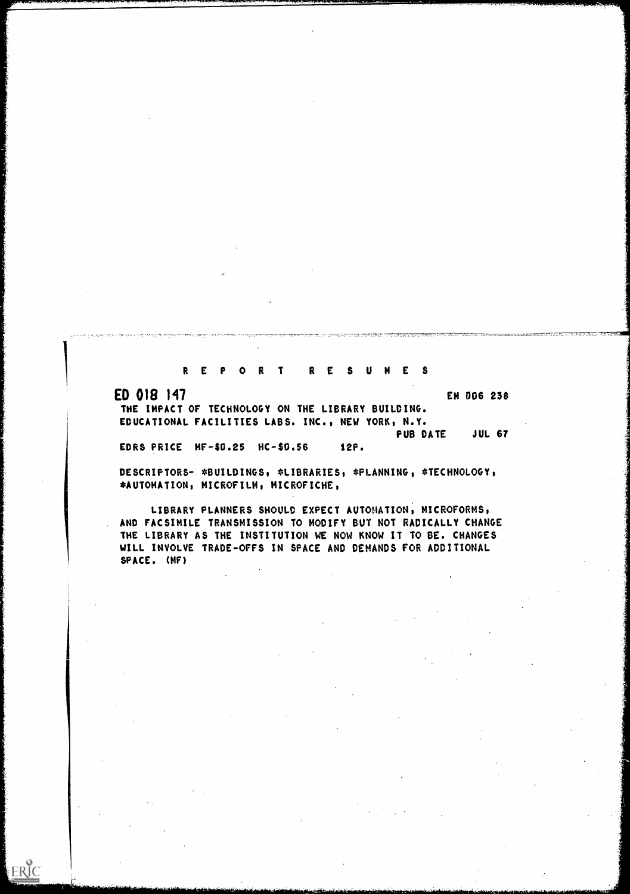REPOR T RESUMES

ED 018 147

ERIC

EM 006 238

THE IMPACT OF TECHNOLOGY ON THE LIBRARY BUILDING. EDUCATIONAL. FACILITIES LABS. INC., NEW YORK, N.Y. PUB DATE JUL 67

EDRS PRICE MF-S0.25 HC-\$0.56 12P.

DESCRIPTORS- \*BUILDINGS, \*LIBRARIES, \*PLANNING, \*TECHNOLOGY, \*AUTOMAT/0N, MICROFILM, MICROFICHE,

LIBRARY PLANNERS SHOULD EXPECT AUTOMATION, MICROFORMS, AND FACSIMILE TRANSMISSION TO MODIFY BUT NOT RADICALLY CHANGE THE LIBRARY AS THE INSTITUTION WE NOW KNOW IT TO BE. CHANGES WILL INVOLVE TRADE-OFFS IN SPACE AND DEMANDS FOR ADDITIONAL SPACE. (MF)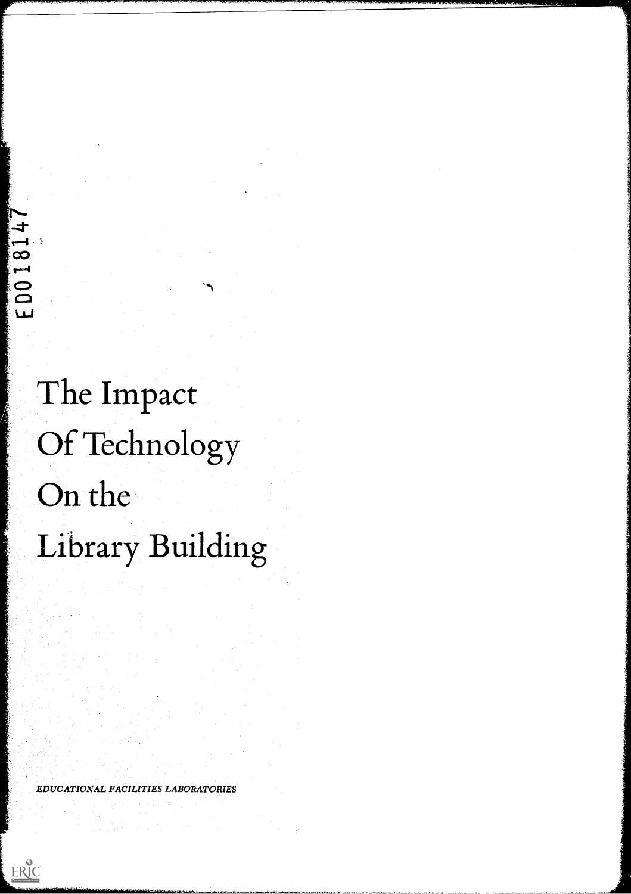The Impact Of Technology On the Library Building

EDUCATIONAL FACILITIES LABORATORIES

 $\sim r_{\rm acc}$ 

 $\label{eq:2} \frac{1}{\sqrt{2}}\sum_{i=1}^n \frac{1}{\sqrt{2}}\sum_{j=1}^n \frac{1}{j!}\sum_{j=1}^n \frac{1}{j!}\sum_{j=1}^n \frac{1}{j!}\sum_{j=1}^n \frac{1}{j!}\sum_{j=1}^n \frac{1}{j!}\sum_{j=1}^n \frac{1}{j!}\sum_{j=1}^n \frac{1}{j!}\sum_{j=1}^n \frac{1}{j!}\sum_{j=1}^n \frac{1}{j!}\sum_{j=1}^n \frac{1}{j!}\sum_{j=1}^n \frac{1}{j!}\sum_{j=1}^$ 

 $\label{eq:2.1} \frac{1}{2} \int_{\mathbb{R}^3} \frac{1}{\sqrt{2}} \, \frac{1}{\sqrt{2}} \, \frac{1}{\sqrt{2}} \, \frac{1}{\sqrt{2}} \, \frac{1}{\sqrt{2}} \, \frac{1}{\sqrt{2}} \, \frac{1}{\sqrt{2}} \, \frac{1}{\sqrt{2}} \, \frac{1}{\sqrt{2}} \, \frac{1}{\sqrt{2}} \, \frac{1}{\sqrt{2}} \, \frac{1}{\sqrt{2}} \, \frac{1}{\sqrt{2}} \, \frac{1}{\sqrt{2}} \, \frac{1}{\sqrt{2}} \, \frac{1}{\sqrt{2}} \,$ 

 $\label{eq:1} \frac{1}{\sqrt{2\pi}}\frac{1}{\sqrt{2\pi}}\int_{0}^{\pi}\frac{1}{\sqrt{2\pi}}\frac{1}{\sqrt{2\pi}}\frac{1}{\sqrt{2\pi}}\frac{1}{\sqrt{2\pi}}\frac{1}{\sqrt{2\pi}}\frac{1}{\sqrt{2\pi}}\frac{1}{\sqrt{2\pi}}\frac{1}{\sqrt{2\pi}}\frac{1}{\sqrt{2\pi}}\frac{1}{\sqrt{2\pi}}\frac{1}{\sqrt{2\pi}}\frac{1}{\sqrt{2\pi}}\frac{1}{\sqrt{2\pi}}\frac{1}{\sqrt{2\pi}}\frac{1}{\sqrt{2\pi}}\$ 

 $\mathcal{L}^{\text{max}}_{\text{max}}$  and  $\mathcal{L}^{\text{max}}_{\text{max}}$ 

a na matatana<br>Manazarta<br>Manazarta

 $\sim$ 

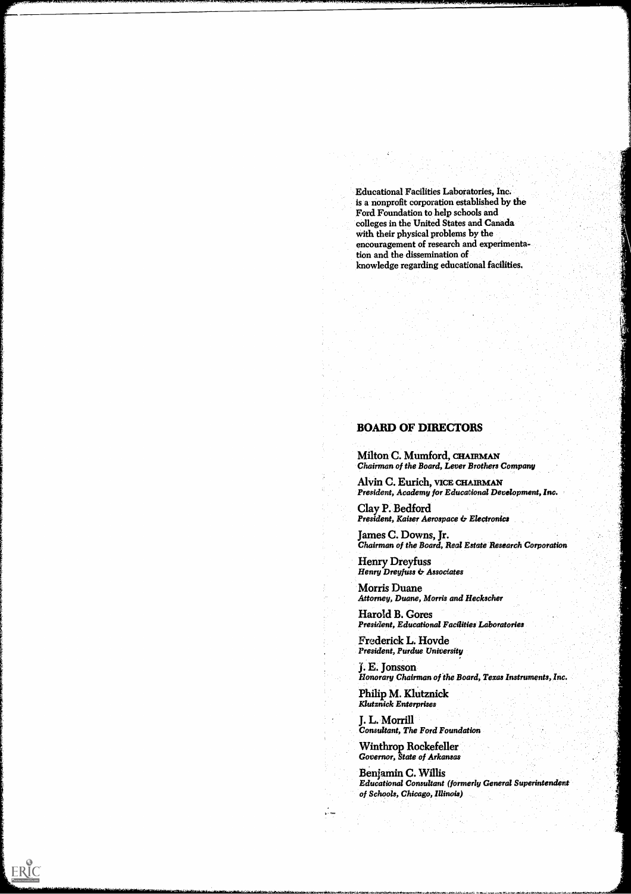Educational Facilities Laboratories, Inc. is a nonprofit corporation established by the Ford Foundation to help schools and colleges in the United States and Canada with their physical problems by the encouragement of research and experimentation and the dissemination of knowledge regarding educational facilities.

.77:37..77.1,111

## BOARD OF DIRECTORS

Milton C. Mumford, CHAIRMAN Chairman of the Board, Lever Brothers Company

Alvin C. Eurich, VICE CHAIRMAN President, Academy for Educational Development, Inc.

Clay P. Bedford President, Kaiser Aerospace & Electronics

James C. Downs, Jr. Chairman of the Board, Real Estate Research Corporation

Henry Dreyfuss Henry Dreyfuss & Associates

Morris Duane Attorney, Duane, Morris and Heckscher

Harold B. Cores President, Educational Facilities Laboratories

Frederick L. Hovde President, Purdue University

J. E. Jonsson Honorary Chairman of the Board, Texas Instruments, Inc.

Philip M. KlUtznick Klutznick Enterprises

ŧ

 $\mu$  -  $\gamma$ 

ERIC

J. L. Morrill Consultant, The

Winthrop Rockefeller Governor, State of Arkansas

-aL 110.4

 $\sim 2\sigma_{\rm c}$ 

Benjamin C. Willis Educational Consultant (formerly General Superintendent of Schools, Chicago, Illinois)

 $\label{eq:2} \mathcal{F}_{\mathcal{A}}(\mathcal{A}) = \mathcal{F}_{\mathcal{A}}(\mathcal{A})$ 

 $\mathcal{L}^{\mathcal{L}}$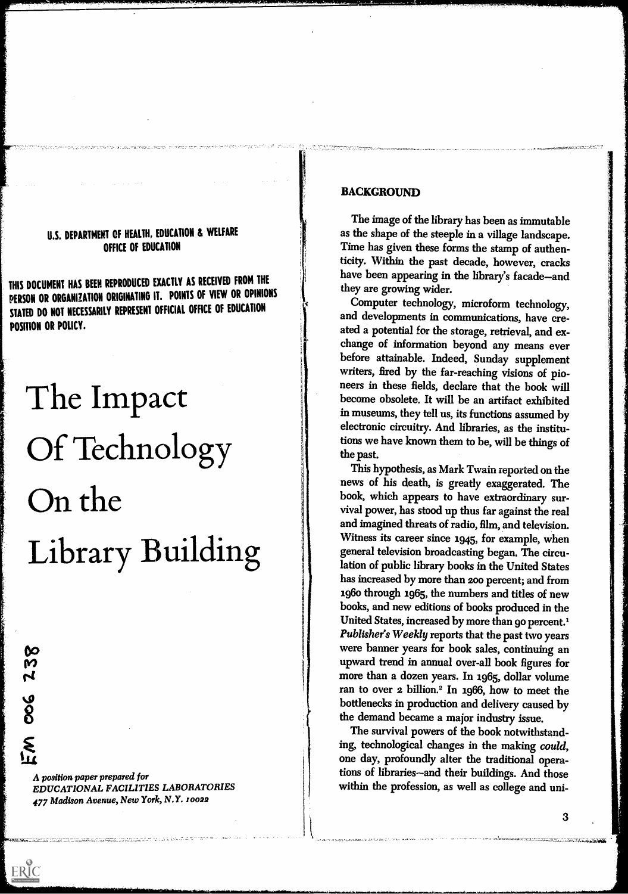## U.S. DEPARTMENT OF HEALTH, EDUCATION & WELFARE OFFICE OF EDUCATION

THIS DOCUMENT HAS BEEN REPRODUCED EXACTLY AS RECEIVED FROM THE PERSON OR ORGANIZATION ORIGINATING IT. POINTS OF VIEW OR OPINIONS STATED DO NOT NECESSARILY REPRESENT OFFICIAL OFFICE OF EDUCATION POSITION OR POLICY.

# The Impact Of Technology On the Library Building

A position paper prepared for EDUCATIONAL FACILITIES LABORATORIES 477 Madison Avenue, New York, N.Y. 10022

 $\infty$ 

**98** 

ERIC

M

### BACKGROUND

The image of the library has been as immutable as the shape of the steeple in a village landscape. Time has given these forms the stamp of authenticity. Within the past decade, however, cracks have been appearing in the library's facade-and they are growing wider.

Computer technology, microform technology, and developments in communications, have created a potential for the storage, retrieval, and exchange of information beyond any means ever before attainable. Indeed, Sunday supplement writers, fired by the far-reaching visions of pioneers in these fields, declare that the book will become obsolete. It will be an artifact exhibited in museums, they tell us, its functions assumed by electronic circuitry. And libraries, as the institutions we have known them to be, will be things of the past.

This hypothesis, as Mark Twain reported on the news of his death, is greatly exaggerated. The book, which appears to have extraordinary survival power, has stood up thus far against the real and imagined threats of radio, film, and television. Witness its career since 1945, for example, when general television broadcasting began. The circulation of public library books in the United States has increased by more than 200 percent; and from 196o through 1965, the numbers and titles of new books, and new editions of books produced in the United States, increased by more than 90 percent.<sup>1</sup> Publisher's Weekly reports that the past two years were banner years for book sales, continuing an upward trend in annual over-all book figures for more than a dozen years. In 1965, dollar volume ran to over 2 billion.' In 1966, how to meet the bottlenecks in production and delivery caused by the demand became a major industry issue.

The survival powers of the book notwithstanding, technological changes in the making could, one day, profoundly alter the traditional operations of libraries-and their buildings. And those within the profession, as well as college and uni-

**EDENCE SON ARABA 200**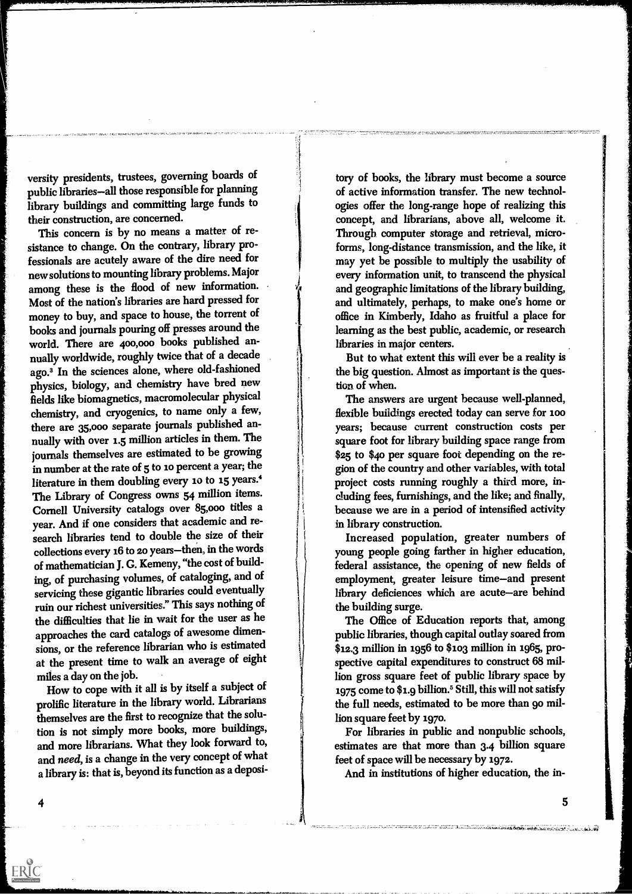versity presidents, trustees, governing boards of public libraries-all those responsible for planning library buildings and committing large funds to their construction, are concerned.

This concern is by no means a matter of resistance to change. On the contrary, library professionals are acutely aware of the dire need for new solutions to mounting library problems. Major among these is the flood of new information. Most of the nation's libraries are hard pressed for money to buy, and space to house, the torrent of books and journals pouring off presses around the world. There are 400,000 books published annually worldwide, roughly twice that of a decade ago.<sup>3</sup> In the sciences alone, where old-fashioned physics, biology, and chemistry have bred new fields like biomagnetics, macromolecular physical chemistry, and cryogenics, to name only a few, there are 35,000 separate journals published annually with over 1.5 million articles in them. The journals themselves are estimated to be growing in number at the rate of 5 to io percent a year; the literature in them doubling every 10 to 15 years.<sup>4</sup> The Library of Congress owns 54 million items. Cornell University catalogs over 85,000 titles a year. And if one considers that academic and research libraries tend to double the size of their collections every 16 to 20 years-then, in the words of mathematician J. G. Kemeny, "the cost of building, of purchasing volumes, of cataloging, and of servicing these gigantic libraries could eventually ruin our richest universities." This says nothing of the difficulties that lie in wait for the user as he approaches the card catalogs of awesome dimensions, or the reference librarian who is estimated at the present time to walk an average of eight miles a day on the job.

How to cope with it all is by itself a subject of prolific literature in the library world. Librarians themselves are the first to recognize that the solution is not simply more books, more buildings, and more librarians. What they look forward to, and need, is a change in the very concept of what a library is: that is, beyond its function as a deposi-

tory of books, the library must become a source of active information transfer. The new technologies offer the long-range hope of realizing this concept, and librarians, above all, welcome it. Through computer storage and retrieval, microforms, long-distance transmission, and the like, it may yet be possible to multiply the usability of every information unit, to transcend the physical and geographic limitations of the library building, and ultimately, perhaps, to make one's home or office in Kimberly, Idaho as fruitful a place for learning as the best public, academic, or research libraries in major centers.

But to what extent this will ever be a reality is the big question. Almost as important is the question of when.

The answers are urgent because well-planned, flexible buildings erected today can serve for 100 years; because current construction costs per square foot for library building space range from \$25 to \$40 per square foot depending on the region of the country and other variables, with total project costs running roughly a third more, including fees, furnishings, and the like; and finally, because we are in a period of intensified activity in library construction.

Increased population, greater numbers of young people going farther in higher education, federal assistance, the opening of new fields of employment, greater leisure time-and present library deficiences which are acute-are behind the building surge.

The Office of Education reports that, among public libraries, though capital outlay soared from \$12.3 million in 1956 to \$103 million in 1965, prospective capital expenditures to construct 68 million gross square feet of public library space by 1975 come to \$1.9 billion.<sup>5</sup> Still, this will not satisfy the full needs, estimated to be more than go million square feet by 1970.

For libraries in public and nonpublic schools, estimates are that more than 3.4 billion square feet of space will be necessary by 1972.

And in institutions of higher education, the in-

4

ERIC

5

ARCHELORA CHARLEY ALBANDEDATO AND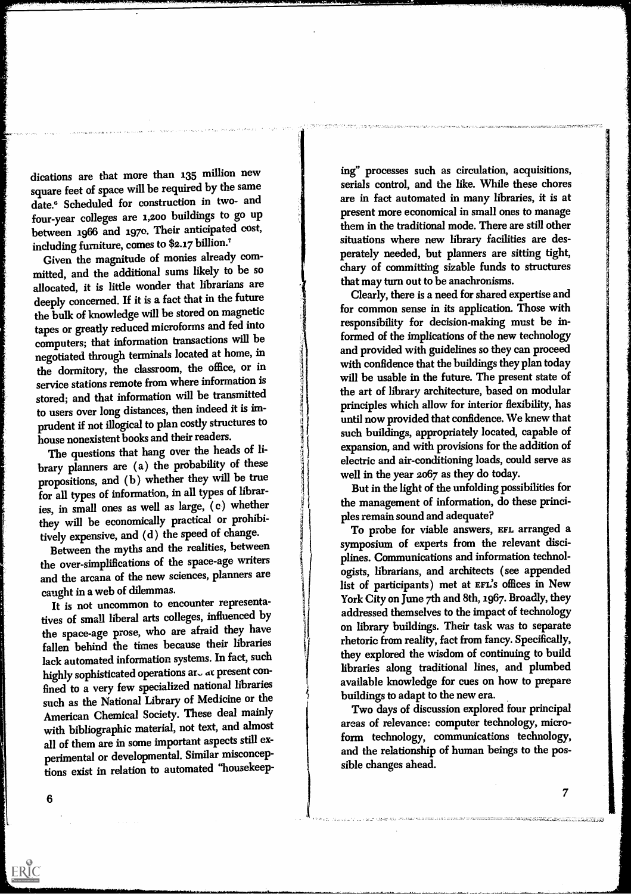dications are that more than 135 million new square feet of space will be required by the same date.<sup>6</sup> Scheduled for construction in two- and four-year colleges are 1,200 buildings to go up between 1966 and 1970. Their anticipated cost, including furniture, comes to \$2.17 billion.?

Given the magnitude of monies already committed, and the additional sums likely to be so allocated, it is little wonder that librarians are deeply concerned. If it is a fact that in the future the bulk of knowledge will be stored on magnetic tapes or greatly reduced microforms and fed into computers; that information transactions will be negotiated through terminals located at home, in the dormitory, the classroom, the office, or in service stations remote from where information is stored; and that information will be transmitted to users over long distances, then indeed it is imprudent if not illogical to plan costly structures to house nonexistent books and their readers.

The questions that hang over the heads of library planners are (a) the probability of these propositions, and (b) whether they will be true for all types of information, in all types of libraries, in small ones as well as large, (c) whether they will be economically practical or prohibitively expensive, and (d) the speed of change.

Between the myths and the realities, between the over-simplifications of the space-age writers and the arcana of the new sciences, planners are caught in a web of dilemmas.

It is not uncommon to encounter representatives of small liberal arts colleges, influenced by the space-age prose, who are afraid they have fallen behind the times because their libraries lack automated information systems. In fact, such highly sophisticated operations ar $\sim$  at present confined to a very few specialized national libraries such as the National Library of Medicine or the American Chemical Society. These deal mainly with bibliographic material, not text, and almost all of them are in some important aspects still experimental or developmental. Similar misconceptions exist in relation to automated "housekeep-

ing" processes such as circulation, acquisitions, serials control, and the like. While these chores are in fact automated in many libraries, it is at present more economical in small ones to manage them in the traditional mode. There are still other situations where new library facilities are desperately needed, but planners are sitting tight, chary of committing sizable funds to structures that may turn out to be anachronisms.

Clearly, there is a need for shared expertise and for common sense in its application. Those with responsibility for decision-making must be informed of the implications of the new technology and provided with guidelines so they can proceed with confidence that the buildings they plan today will be usable in the future. The present state of the art of library architecture, based on modular principles which allow for interior flexibility, has until now provided that confidence. We knew that such buildings, appropriately located, capable of expansion, and with provisions for the addition of electric and air-conditioning loads, could serve as well in the year 2067 as they do today.

But in the light of the unfolding possibilities for the management of information, do these principles remain sound and adequate?

To probe for viable answers, EFL arranged a symposium of experts from the relevant disciplines. Communications and information technologists, librarians, and architects ( see appended list of participants) met at EFL'S offices in New York City on June 7th and 8th, 1967. Broadly, they addressed themselves to the impact of technology on library buildings. Their task was to separate rhetoric from reality, fact from fancy. Specifically, they explored the wisdom of continuing to build libraries along traditional lines, and plumbed available knowledge for cues on how to prepare buildings to adapt to the new era.

Two days of discussion explored four principal areas of relevance: computer technology, microform technology, communications technology, and the relationship of human beings to the possible changes ahead.

6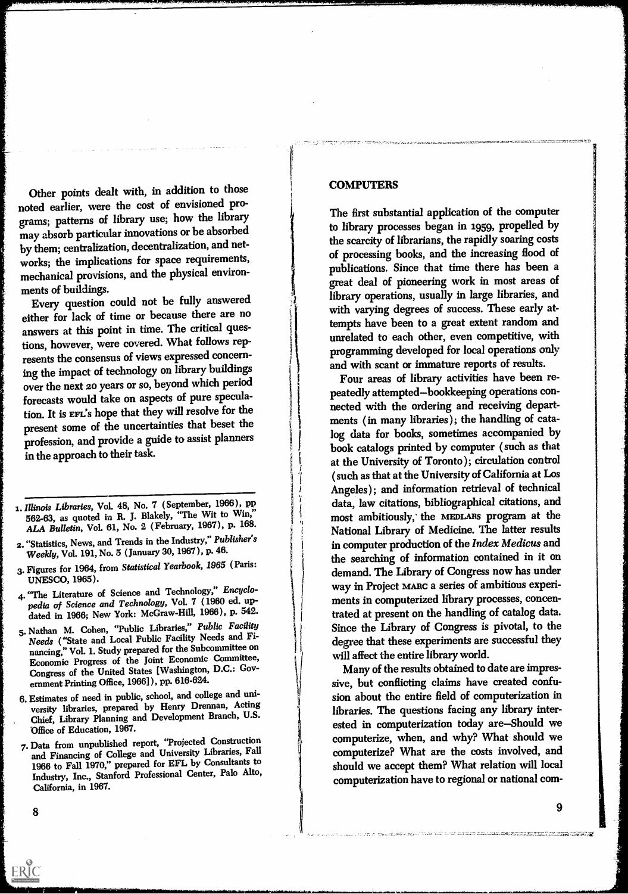Other points dealt with, in addition to those noted earlier, were the cost of envisioned programs; patterns of library use; how the library may absorb particular innovations or be absorbed by them; centralization, decentralization, and networks; the implications for space requirements, mechanical provisions, and the physical environments of buildings.

Every question could not be fully answered either for lack of time or because there are no answers at this point in time. The critical questions, however, were covered. What follows represents the consensus of views expressed concerning the impact of technology on library buildings over the next 20 years or so, beyond which period forecasts would take on aspects of pure speculation. It is EFL's hope that they will resolve for the present some of the uncertainties that beset the profession, and provide a guide to assist planners in the approach to their task.

- 1. Illinois Libraries, Vol. 48, No. 7 (September, 1966), pp 562-63, as quoted in R. J. Blakely, "The Wit to Win," ALA Bulletin, Vol. 61, No. 2 (February, 1967), p. 168.
- 2. "Statistics, News, and Trends in the Industry," Publisher's Weekly, Vol. 191, No. 5 (January 30, 1967 ), p. 46.
- 3. Figures for 1964, from Statistical Yearbook, 1965 (Paris: UNESCO, 1965).
- 4. "The Literature of Science and Technology," Encyclopedia of Science and Technology, Vol. 7 ( 1960 ed. updated in 1966; New York: McGraw-Hill, 1966), p. 542.
- 5. Nathan M. Cohen, "Public Libraries," Public Facility Needs ("State and Local Public Facility Needs and Financing," Vol. 1. Study prepared for the Subcommittee on Economic Progress of the Joint Economic Committee, Congress of the United States [Washington, D.C.: Government Printing Office, 1966] ), pp. 616-624.
- 6. Estimates of need in public, school, and college and university libraries, prepared by Henry Drennan, Acting Chief, Library Planning and Development Branch, U.S. Office of Education, 1967.
- 7. Data from unpublished report, "Projected Construction and Financing of College and University Libraries, Fall 1966 to Fall 1970," prepared for EFL by Consultants to Industry, Inc., Stanford Professional Center, Palo Alto, California, in 1967.

#### COMPUTERS

The first substantial application of the computer to library processes began in 1959, propelled by the scarcity of librarians, the rapidly soaring costs of processing books, and the increasing flood of publications. Since that time there has been a great deal of pioneering work in most areas of library operations, usually in large libraries, and with varying degrees of success. These early attempts have been to a great extent random and unrelated to each other, even competitive, with programming developed for local operations only and with scant or immature reports of results.

Four areas of library activities have been repeatedly attempted-bookkeeping operations connected with the ordering and receiving departments ( in many libraries ); the handling of catalog data for books, sometimes accompanied by book catalogs printed by computer ( such as that at the University of Toronto ); circulation control (such as that at the University of California at Los Angeles ); and information retrieval of technical data, law citations, bibliographical citations, and most ambitiously, the MEDLARS program at the National Library of Medicine. The latter results in computer production of the Index Medicus and the searching of information contained in it on demand. The Library of Congress now has under way in Project MARC a series of ambitious experiments in computerized library processes, concentrated at present on the handling of catalog data. Since the Library of Congress is pivotal, to the degree that these experiments are successful they will affect the entire library world.

Many of the results obtained to date are impressive, but conflicting claims have created confusion about the entire field of computerization in libraries. The questions facing any library interested in computerization today are-Should we computerize, when, and why? What should we computerize? What are the costs involved, and should we accept them? What relation will local computerization have to regional or national com-

.<br>The third the therm home result the states contribution of the states and the state that the contribution of th

8

9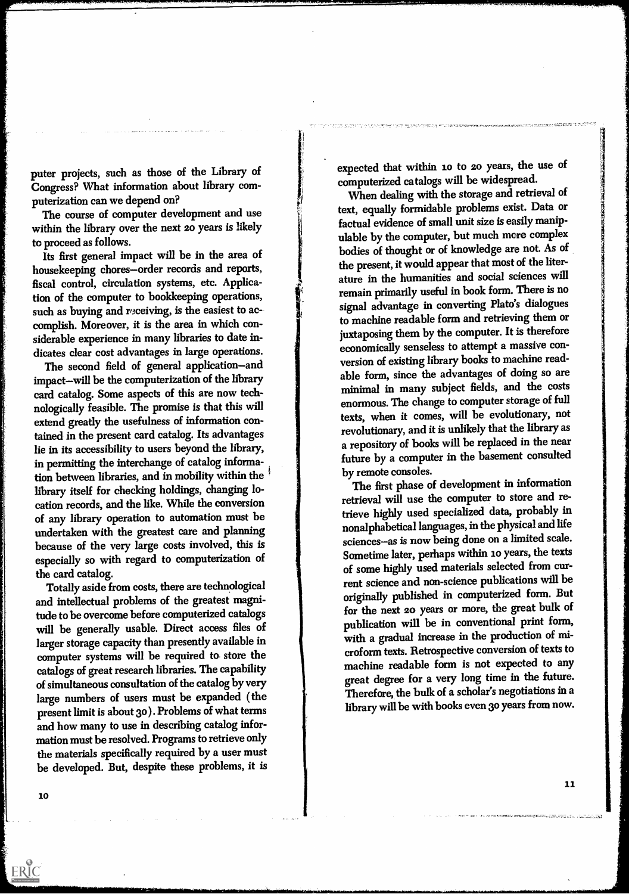puter projects, such as those of the Library of Congress? What information about library computerization can we depend on?

The course of computer development and use within the library over the next 20 years is likely to proceed as follows.

Its first general impact will be in the area of housekeeping chores-order records and reports, fiscal control, circulation systems, etc. Application of the computer to bookkeeping operations, such as buying and receiving, is the easiest to accomplish. Moreover, it is the area in which considerable experience in many libraries to date indicates clear cost advantages in large operations.

The second field of general application-and impact-will be the computerization of the library card catalog. Some aspects of this are now technologically feasible. The promise is that this will extend greatly the usefulness of information contained in the present card catalog. Its advantages lie in its accessibility to users beyond the library, in permitting the interchange of catalog information between libraries, and in mobility within the library itself for checking holdings, changing location records, and the like. While the conversion of any library operation to automation must be undertaken with the greatest care and planning because of the very large costs involved, this is especially so with regard to computerization of the card catalog.

Totally aside from costs, there are technological and intellectual problems of the greatest magnitude to be overcome before computerized catalogs will be generally usable. Direct access files of larger storage capacity than presently available in computer systems will be required to. store the catalogs of great research libraries. The capability of simultaneous consultation of the catalog by very large numbers of users must be expanded ( the present limit is about 30 ). Problems of what terms and how many to use in describing catalog information must be resolved. Programs to retrieve only the materials specifically required by a user must be developed. But, despite these problems, it is expected that within io to zo years, the use of computerized catalogs will be widespread.

When dealing with the storage and retrieval of text, equally formidable problems exist. Data or factual evidence of small unit size is easily manipulable by the computer, but much more complex bodies of thought or of knowledge are not. As of the present, it would appear that most of the literature in the humanities and social sciences will remain primarily useful in book form. There is no signal advantage in converting Plato's dialogues to machine readable form and retrieving them or juxtaposing them by the computer. It is therefore economically senseless to attempt a massive conversion of existing library books to machine readable form, since the advantages of doing so are minimal in many subject fields, and the costs enormous. The change to computer storage of full texts, when it comes, will be evolutionary, not revolutionary, and it is unlikely that the library as a repository of books will be replaced in the near future by a computer in the basement consulted by remote consoles.

The first phase of development in information retrieval will use the computer to store and retrieve highly used specialized data, probably in nonalphabetical languages, in the physical and life sciences-as is now being done on a limited scale. Sometime later, perhaps within io years, the texts of some highly used materials selected from current science and non-science publications will be originally published in computerized form. But for the next zo years or more, the great bulk of publication will be in conventional print form, with a gradual increase in the production of microform texts. Retrospective conversion of texts to machine readable form is not expected to any great degree for a very long time in the future. Therefore, the bulk of a scholar's negotiations in a library will be with books even 30 years from now.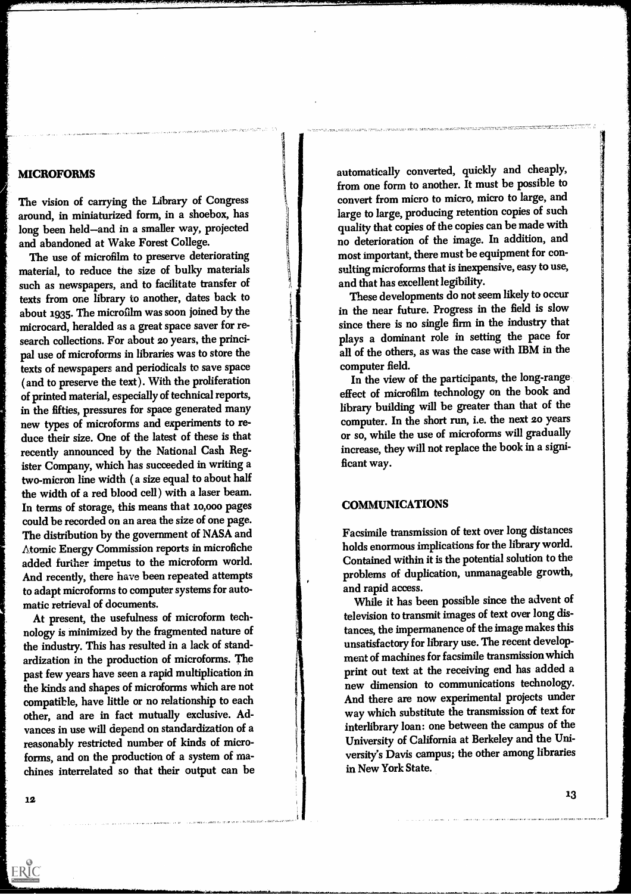#### MICROFORMS

The vision of carrying the Library of Congress around, in miniaturized form, in a shoebox, has long been held-and in a smaller way, projected and abandoned at Wake Forest College.

The use of microfilm to preserve deteriorating material, to reduce the size of bulky materials such as newspapers, and to facilitate transfer of texts from one library to another, dates back to about 1935. The microfilm was soon joined by the microcard, heralded as a great space saver for research collections. For about 20 years, the principal use of microforms in libraries was to store the texts of newspapers and periodicals to save space ( and to preserve the text ). With the proliferation of printed material, especially of technical reports, in the fifties, pressures for space generated many new types of microforms and experiments to reduce their size. One of the latest of these is that recently announced by the National Cash Register Company, which has succeeded in writing a two-micron line width ( a size equal to about half the width of a red blood cell) with a laser beam. In terms of storage, this means that io,000 pages could be recorded on an area the size of one page. The distribution by the government of NASA and Atomic Energy Commission reports in microfiche added further impetus to the microform world. And recently, there have been repeated attempts to adapt microforms to computer systems for automatic retrieval of documents.

At present, the usefulness of microform technology is minimized by the fragmented nature of the industry. This has resulted in a lack of standardization in the production of microforms. The past few years have seen a rapid multiplication in the kinds and shapes of microforms which are not compatible, have little or no relationship to each other, and are in fact mutually exclusive. Advances in use will depend on standardization of a reasonably restricted number of kinds of microforms, and on the production of a system of machines interrelated so that their output can be automatically converted, quickly and cheaply, from one form to another. It must be possible to convert from micro to micro, micro to large, and large to large, producing retention copies of such quality that copies of the copies can be made with no deterioration of the image. In addition, and most important, there must be equipment for consulting microforms that is inexpensive, easy to use, and that has excellent legibility.

-

These developments do not seem likely to occur in the near future. Progress in the field is slow since there is no single firm in the industry that plays a dominant role in setting the pace for all of the others, as was the case with IBM in the computer field.

In the view of the participants, the long-range effect of microfilm technology on the book and library building will be greater than that of the computer. In the short run, i.e. the next 20 years or so, while the use of microforms will gradually increase, they will not replace the book in a significant way.

#### COMMUNICATIONS

Facsimile transmission o f text over long distances holds enormous implica tions for the library world. Contained within it is the potential solution to the problems of duplication, unmanageable growth, and rapid access.

While it has been possible since the advent of television to transmit images of text over long distances, the imperm anence of the image makes this unsatisfactory fo r library use. The recent development of machin es for facsimile transmissionwhich print out text at the receiving end has added a new dimensi on to communications technology. And there ar e now experimental projects under way which substitute the transmission of text for interlibrary loan: one between the campus of the the state of  $\mathbb{R}^n$ Universit y of California at Berkeley and the University's Davis campus; the other among libraries in New York State.

12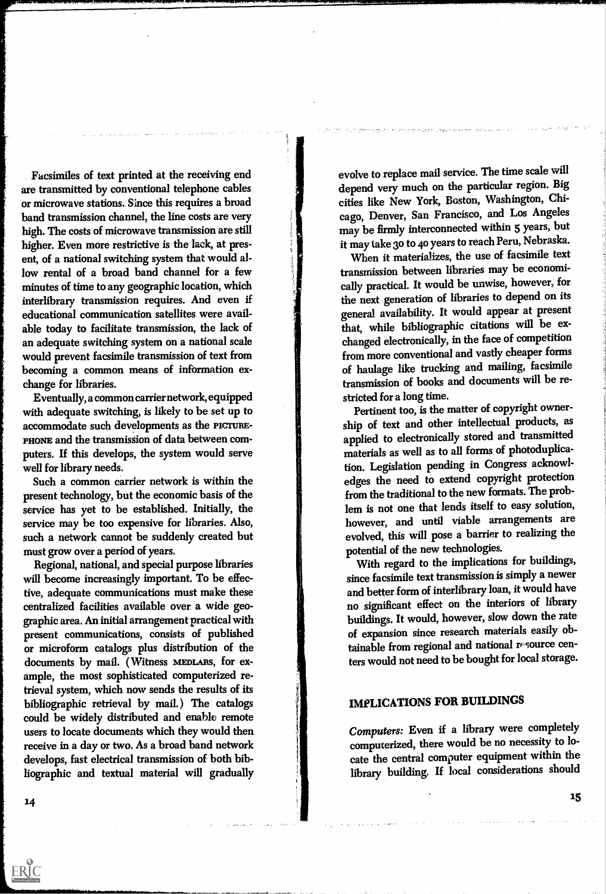Facsimiles of text printed at the receiving end are transmitted by conventional telephone cables or microwave stations. Since this requires a broad band transmission channel, the line costs are very high. The costs of microwave transmission are still, higher. Even more restrictive is the lack, at present, of a national switching system that would allow rental of a broad band channel for a few minutes of time to any geographic location, which interlibrary transmission requires. And even if educational communication satellites were available today to facilitate transmission, the lack of an adequate switching system on a national scale would prevent facsimile transmission of text from becoming a common means of information exchange for libraries.

Eventually, a common carrier network, equipped with adequate switching, is likely to be set up to accommodate such developments as the PIcrunE-PHONE and the transmission of data between computers. If this develops, the system would serve well for library needs.

Such a common carrier network is within the present technology, but the economic basis of the service has yet to be established. Initially, the service may be too expensive for libraries. Also, such a network cannot be suddenly created but must grow over a period of years.

Regional, national, and special purpose libraries will become increasingly important. To be effective, adequate communications must make these centralized facilities available over a wide geographic area. An initial arrangement practical with present communications, consists of published or microform catalogs plus distribution of the documents by mail. ( Witness MEDLARS, for example, the most sophisticated computerized retrieval system, which now sends the results of its bibliographic retrieval by mail.) The catalogs could be widely distributed and enable remote users to locate documents which they would then receive in a day or two. As a broad band network develops, fast electrical transmission of both bibliographic and textual material will gradually evolve to replace mail service. The time scale will depend very much on the particular region. Big cities like New York, Boston, Washington, Chicago, Denver, San Francisco, and Los Angeles may be firmly interconnected within 5 years, but it may take 3o to 4o years to reach Peru, Nebraska.

When it materializes, the use of facsimile text transmission between libraries may be economically practical. It would be unwise, however, for the next generation of libraries to depend on its general. availability. It would appear at present that, while bibliographic citations will be exchanged electronically, in the face of competition from more conventional and vastly cheaper forms of haulage like trucking and mailing, facsimile transmission of books and documents will be restricted for a long time.

Pertinent too, is the matter of copyright ownership of text and other intellectual products, as applied to electronically stored and transmitted materials as well as to all forms of photoduplication. Legislation pending in Congress acknowledges the need to extend copyright protection from the traditional to the new formats. The problem is not one that lends itself to easy solution, however, and until viable arrangements are evolved, this will pose a barrier to realizing the potential of the new technologies.

With regard to the implications for buildings, since facsimile text transmission is simply a newer and better form of interlibrary loan, it would have no significant effect on the interiors of library buildings. It would, however, slow down the rate of expansion since research materials easily obtainable from regional and national resource centers would not need to be bought for local storage.

# IMPLICATIONS FOR BUILDINGS

Computers: Even if a library were completely computerized, there would be no necessity to locate the central computer equipment within the library building. If local considerations should

14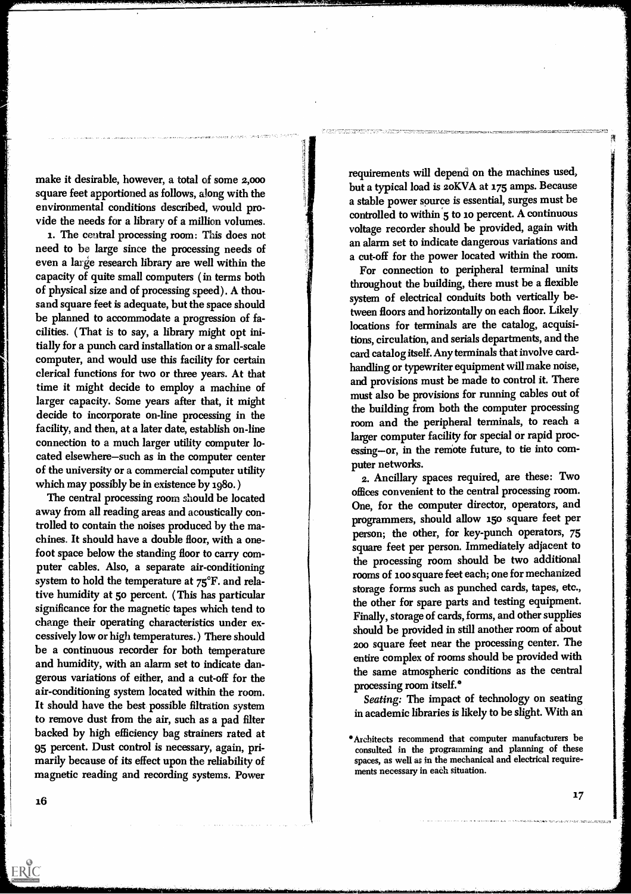make it desirable, however, a total of some 2,000 square feet apportioned as follows, along with the environmental conditions described, would provide the needs for a library of a million volumes.

1. The central processing room: This does not need to be large since the processing needs of even a large research library are well within the capacity of quite small computers ( in terms both of physical size and of processing speed). A thousand square feet is adequate, but the space should be planned to accommodate a progression of facilities. ( That is to say, a library might opt initially for a punch card installation or a small-scale computer, and would use this facility for certain clerical functions for two or three years. At that time it might decide to employ a machine of larger capacity. Some years after that, it might decide to incorporate on-line processing in the facility, and then, at a later date, establish on-line connection to a much larger utility computer located elsewhere-such as in the computer center of the university or a commercial computer utility which may possibly be in existence by 1980. )

The central processing room should be located away from all reading areas and acoustically controlled to contain the noises produced by the machines. It should have a double floor, with a onefoot space below the standing floor to carry computer cables. Also, a separate air-conditioning system to hold the temperature at 75°F. and relative humidity at 5o percent. ( This has particular significance for the magnetic tapes which tend to change their operating characteristics under excessively low or high temperatures.) There should be a continuous recorder for both temperature and humidity, with an alarm set to indicate dangerous variations of either, and a cut-off for the air-conditioning system located within the room. It should have the best possible filtration system to remove dust from the air, such as a pad filter backed by high efficiency bag strainers rated at 95 percent. Dust control is necessary, again, primarily because of its effect upon the reliability of magnetic reading and recording systems. Power

requirements will depend on the machines used, but a typical load is 2oKVA at 175 amps. Because a stable power source is essential, surges must be controlled to within 5 to 10 percent. A continuous voltage recorder should be provided, again with an alarm set to indicate dangerous variations and a cut-off for the power located within the room.

For connection to peripheral terminal units throughout the building, there must be a flexible system of electrical conduits both vertically between floors and horizontally on each floor. Likely locations for terminals are the catalog, acquisitions, circulation, and serials departments, and the card catalog itself. Any terminals that involve cardhandling or typewriter equipment will make noise, and provisions must be made to control it. There must also be provisions for running cables out of the building from both the computer processing room and the peripheral terminals, to reach a larger computer facility for special or rapid processing--or, in the remote future, to tie into computer networks.

2. Ancillary spaces required, are these: Two offices convenient to the central processing room. One, for the computer director, operators, and programmers, should allow i5o square feet per person; the other, for key-punch operators, 75 square feet per person. Immediately adjacent to the processing room should be two additional rooms of loo square feet each; one for mechanized storage forms such as punched cards, tapes, etc., the other for spare parts and testing equipment. Finally, storage of cards, forms, and other supplies should be provided in still another room of about 200 square feet near the processing center. The entire complex of rooms should be provided with the same atmospheric conditions as the central processing room itself.\*

Seating: The impact of technology on seating in academic libraries is likely to be slight. With an

16

ERIC

Architects recommend that computer manufacturers be consulted in the programming and planning of these spaces, as well as in the mechanical and electrical requirements necessary in each situation.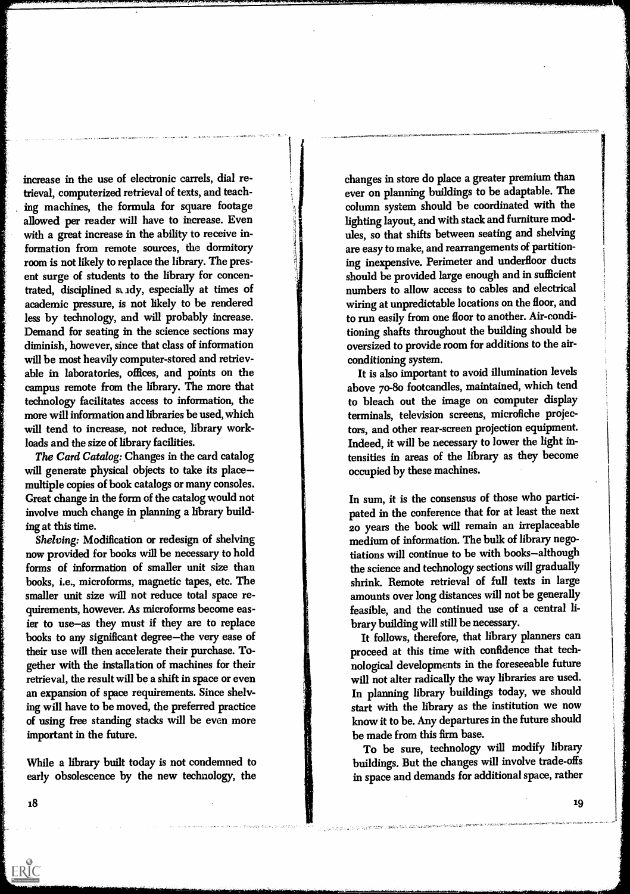increase in the use of electronic carrels, dial retrieval, computerized retrieval of texts, and teaching machines, the formula for square footage allowed per reader will have to increase. Even with a great increase in the ability to receive information from remote sources, the dormitory room is not likely to replace the library. The present surge of students to the library for concentrated, disciplined study, especially at times of academic pressure, is not likely to be rendered less by technology, and will probably increase. Demand for seating in the science sections may diminish, however, since that class of information will be most heavily computer-stored and retrievable in laboratories, offices, and points on the campus remote from the library. The more that technology facilitates access to information, the more will information and libraries be used, which will tend to increase, not reduce, library workloads and the size of library facilities.

The Card Catalog: Changes in the card catalog will generate physical objects to take its placemultiple copies of book catalogs or many consoles. Great change in the form of the catalog would not involve much change in planning a library building at this time.

Shelving: Modification or redesign of shelving now provided for books will be necessary to hold forms of information of smaller unit size than books, i.e., microforms, magnetic tapes, etc. The smaller unit size will not reduce total space requirements, however. As microforms become easier to use-as they must if they are to replace books to any significant degree-the very ease of their use will then accelerate their purchase. Together with the installation of machines for their retrieval, the result will be a shift in space or even an expansion of space requirements. Since shelving will have to be moved, the preferred practice of using free standing stacks will be even more important in the future.

While a library built today is not condemned to early obsolescence by the new technology, the changes in store do place a greater premium than ever on planning buildings to be adaptable. The column system should be coordinated with the lighting layout, and with stack and furniture modules, so that shifts between seating and shelving are easy to make, and rearrangements of partitioning inexpensive. Perimeter and underfloor ducts should be provided large enough and in sufficient numbers to allow access to cables and electrical wiring at unpredictable locations on the floor, and to run easily from one floor to another. Air-conditioning shafts throughout the building should be oversized to provide room for additions to the airconditioning system.

It is also important to avoid illumination levels above 70-80 footcandles, maintained, which tend to bleach out the image on computer display terminals, television screens, microfiche projectors, and other rear-screen projection equipment. Indeed, it will be necessary to lower the light intensities in areas of the library as they become occupied by these machines.

In sum, it is the consensus of those who participated in the conference that for at least the next 20 years the book will remain an irreplaceable medium of information. The bulk of library negotiations will continue to be with books-although the science and technology sections will gradually shrink. Remote retrieval of full texts in large amounts over long distances will not be generally feasible, and the continued use of a central library building will still be necessary.

It follows, therefore, that library planners can proceed at this time with confidence that technological developments in the foreseeable future will not alter radically the way libraries are used. In planning library buildings today, we should start with the library as the institution we now know it to be. Any departures in the future should be made from this firm base.

To be sure, technology will modify library buildings. But the changes will involve trade-offs in space and demands for additional space, rather

ERIC